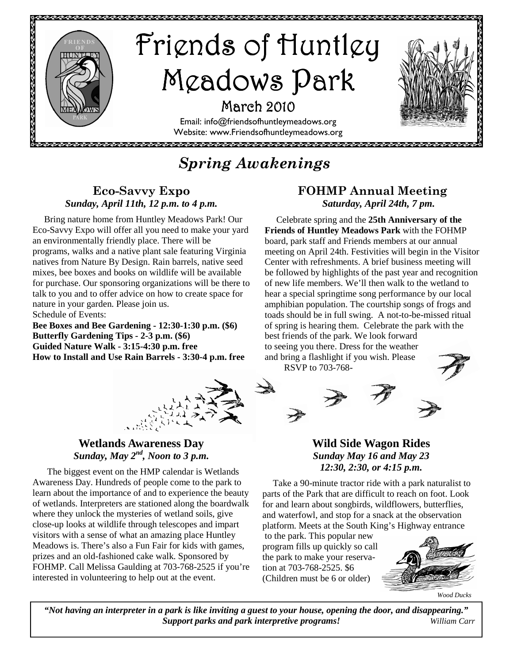

# *Spring Awakenings*

# **Eco-Savvy Expo**  *Sunday, April 11th, 12 p.m. to 4 p.m.*

 Bring nature home from Huntley Meadows Park! Our Eco-Savvy Expo will offer all you need to make your yard an environmentally friendly place. There will be programs, walks and a native plant sale featuring Virginia natives from Nature By Design. Rain barrels, native seed mixes, bee boxes and books on wildlife will be available for purchase. Our sponsoring organizations will be there to talk to you and to offer advice on how to create space for nature in your garden. Please join us. Schedule of Events:

**Bee Boxes and Bee Gardening - 12:30-1:30 p.m. (\$6) Butterfly Gardening Tips - 2-3 p.m. (\$6) Guided Nature Walk - 3:15-4:30 p.m. free How to Install and Use Rain Barrels - 3:30-4 p.m. free**

# **FOHMP Annual Meeting**   *Saturday, April 24th, 7 pm.*

 Celebrate spring and the **25th Anniversary of the Friends of Huntley Meadows Park** with the FOHMP board, park staff and Friends members at our annual meeting on April 24th. Festivities will begin in the Visitor Center with refreshments. A brief business meeting will be followed by highlights of the past year and recognition of new life members. We'll then walk to the wetland to hear a special springtime song performance by our local amphibian population. The courtship songs of frogs and toads should be in full swing. A not-to-be-missed ritual of spring is hearing them. Celebrate the park with the best friends of the park. We look forward to seeing you there. Dress for the weather and bring a flashlight if you wish. Please

RSVP to 703-768-



# **Wetlands Awareness Day**  *Sunday, May 2nd, Noon to 3 p.m.*

 The biggest event on the HMP calendar is Wetlands Awareness Day. Hundreds of people come to the park to learn about the importance of and to experience the beauty of wetlands. Interpreters are stationed along the boardwalk where they unlock the mysteries of wetland soils, give close-up looks at wildlife through telescopes and impart visitors with a sense of what an amazing place Huntley Meadows is. There's also a Fun Fair for kids with games, prizes and an old-fashioned cake walk. Sponsored by FOHMP. Call Melissa Gaulding at 703-768-2525 if you're interested in volunteering to help out at the event.

# **Wild Side Wagon Rides**  *Sunday May 16 and May 23 12:30, 2:30, or 4:15 p.m.*

 Take a 90-minute tractor ride with a park naturalist to parts of the Park that are difficult to reach on foot. Look for and learn about songbirds, wildflowers, butterflies, and waterfowl, and stop for a snack at the observation platform. Meets at the South King's Highway entrance

 to the park. This popular new program fills up quickly so call the park to make your reservation at 703-768-2525. \$6 (Children must be 6 or older)



*Wood Ducks* 

*"Not having an interpreter in a park is like inviting a guest to your house, opening the door, and disappearing." Support parks and park interpretive programs! William Carr*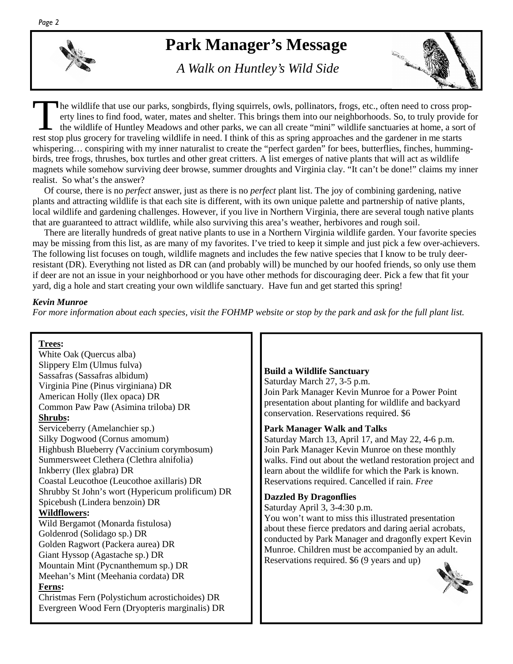# **Park Manager's Message**

 *A Walk on Huntley's Wild Side* 



The wildlife that use our parks, songbirds, flying squirrels, owls, pollinators, frogs, etc., often need to cross property lines to find food, water, mates and shelter. This brings them into our neighborhoods. So, to truly provide for the wildlife of Huntley Meadows and other parks, we can all create "mini" wildlife sanctuaries at home, a sort of rest stop plus grocery for traveling wildlife in need. I think of this as spring approaches and the gardener in me starts whispering… conspiring with my inner naturalist to create the "perfect garden" for bees, butterflies, finches, hummingbirds, tree frogs, thrushes, box turtles and other great critters. A list emerges of native plants that will act as wildlife magnets while somehow surviving deer browse, summer droughts and Virginia clay. "It can't be done!" claims my inner realist. So what's the answer?

 Of course, there is no *perfect* answer, just as there is no *perfect* plant list. The joy of combining gardening, native plants and attracting wildlife is that each site is different, with its own unique palette and partnership of native plants, local wildlife and gardening challenges. However, if you live in Northern Virginia, there are several tough native plants that are guaranteed to attract wildlife, while also surviving this area's weather, herbivores and rough soil.

 There are literally hundreds of great native plants to use in a Northern Virginia wildlife garden. Your favorite species may be missing from this list, as are many of my favorites. I've tried to keep it simple and just pick a few over-achievers. The following list focuses on tough, wildlife magnets and includes the few native species that I know to be truly deerresistant (DR). Everything not listed as DR can (and probably will) be munched by our hoofed friends, so only use them if deer are not an issue in your neighborhood or you have other methods for discouraging deer. Pick a few that fit your yard, dig a hole and start creating your own wildlife sanctuary. Have fun and get started this spring!

#### *Kevin Munroe*

*For more information about each species, visit the FOHMP website or stop by the park and ask for the full plant list.* 

#### **Trees:**

White Oak (Quercus alba) Slippery Elm (Ulmus fulva) Sassafras (Sassafras albidum) Virginia Pine (Pinus virginiana) DR American Holly (Ilex opaca) DR Common Paw Paw (Asimina triloba) DR **Shrubs:**  Serviceberry (Amelanchier sp.) Silky Dogwood (Cornus amomum) Highbush Blueberry *(*Vaccinium corymbosum) Summersweet Clethera (Clethra alnifolia) Inkberry (Ilex glabra) DR Coastal Leucothoe (Leucothoe axillaris) DR Shrubby St John's wort (Hypericum prolificum) DR Spicebush (Lindera benzoin) DR **Wildflowers:**  Wild Bergamot (Monarda fistulosa) Goldenrod (Solidago sp.) DR Golden Ragwort (Packera aurea) DR Giant Hyssop (Agastache sp.) DR Mountain Mint (Pycnanthemum sp.) DR Meehan's Mint (Meehania cordata) DR **Ferns:**  Christmas Fern (Polystichum acrostichoides) DR Evergreen Wood Fern (Dryopteris marginalis) DR

### **Build a Wildlife Sanctuary**

Saturday March 27, 3-5 p.m. Join Park Manager Kevin Munroe for a Power Point presentation about planting for wildlife and backyard conservation. Reservations required. \$6

#### **Park Manager Walk and Talks**

Saturday March 13, April 17, and May 22, 4-6 p.m. Join Park Manager Kevin Munroe on these monthly walks. Find out about the wetland restoration project and learn about the wildlife for which the Park is known. Reservations required. Cancelled if rain. *Free* 

#### **Dazzled By Dragonflies**

Saturday April 3, 3-4:30 p.m.

You won't want to miss this illustrated presentation about these fierce predators and daring aerial acrobats, conducted by Park Manager and dragonfly expert Kevin Munroe. Children must be accompanied by an adult. Reservations required. \$6 (9 years and up)

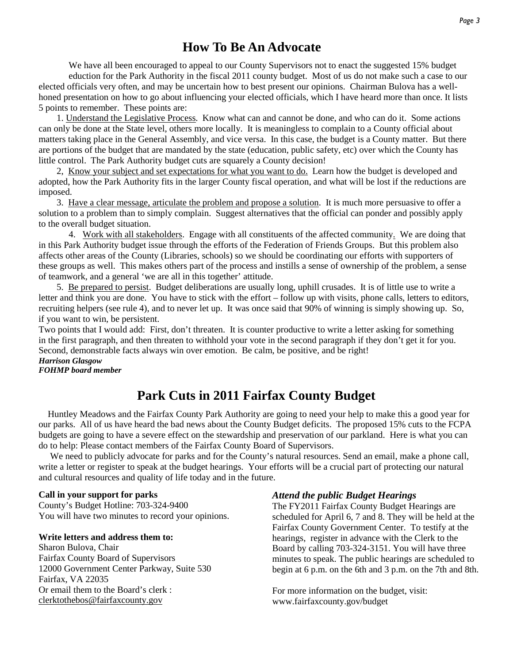# **How To Be An Advocate**

We have all been encouraged to appeal to our County Supervisors not to enact the suggested 15% budget eduction for the Park Authority in the fiscal 2011 county budget. Most of us do not make such a case to our elected officials very often, and may be uncertain how to best present our opinions. Chairman Bulova has a wellhoned presentation on how to go about influencing your elected officials, which I have heard more than once. It lists 5 points to remember. These points are:

 1. Understand the Legislative Process. Know what can and cannot be done, and who can do it. Some actions can only be done at the State level, others more locally. It is meaningless to complain to a County official about matters taking place in the General Assembly, and vice versa. In this case, the budget is a County matter. But there are portions of the budget that are mandated by the state (education, public safety, etc) over which the County has little control. The Park Authority budget cuts are squarely a County decision!

 2, Know your subject and set expectations for what you want to do. Learn how the budget is developed and adopted, how the Park Authority fits in the larger County fiscal operation, and what will be lost if the reductions are imposed.

 3. Have a clear message, articulate the problem and propose a solution. It is much more persuasive to offer a solution to a problem than to simply complain. Suggest alternatives that the official can ponder and possibly apply to the overall budget situation.

4. Work with all stakeholders. Engage with all constituents of the affected community. We are doing that in this Park Authority budget issue through the efforts of the Federation of Friends Groups. But this problem also affects other areas of the County (Libraries, schools) so we should be coordinating our efforts with supporters of these groups as well. This makes others part of the process and instills a sense of ownership of the problem, a sense of teamwork, and a general 'we are all in this together' attitude.

 5. Be prepared to persist. Budget deliberations are usually long, uphill crusades. It is of little use to write a letter and think you are done. You have to stick with the effort – follow up with visits, phone calls, letters to editors, recruiting helpers (see rule 4), and to never let up. It was once said that 90% of winning is simply showing up. So, if you want to win, be persistent.

Two points that I would add: First, don't threaten. It is counter productive to write a letter asking for something in the first paragraph, and then threaten to withhold your vote in the second paragraph if they don't get it for you. Second, demonstrable facts always win over emotion. Be calm, be positive, and be right!

# *Harrison Glasgow*

*FOHMP board member* 

# **Park Cuts in 2011 Fairfax County Budget**

 Huntley Meadows and the Fairfax County Park Authority are going to need your help to make this a good year for our parks. All of us have heard the bad news about the County Budget deficits. The proposed 15% cuts to the FCPA budgets are going to have a severe effect on the stewardship and preservation of our parkland. Here is what you can do to help: Please contact members of the Fairfax County Board of Supervisors.

 We need to publicly advocate for parks and for the County's natural resources. Send an email, make a phone call, write a letter or register to speak at the budget hearings. Your efforts will be a crucial part of protecting our natural and cultural resources and quality of life today and in the future.

#### **Call in your support for parks**

County's Budget Hotline: 703-324-9400 You will have two minutes to record your opinions.

#### **Write letters and address them to:**

Sharon Bulova, Chair Fairfax County Board of Supervisors 12000 Government Center Parkway, Suite 530 Fairfax, VA 22035 Or email them to the Board's clerk : clerktothebos@fairfaxcounty.gov

#### *Attend the public Budget Hearings*

The FY2011 Fairfax County Budget Hearings are scheduled for April 6, 7 and 8. They will be held at the Fairfax County Government Center. To testify at the hearings, register in advance with the Clerk to the Board by calling 703-324-3151. You will have three minutes to speak. The public hearings are scheduled to begin at 6 p.m. on the 6th and 3 p.m. on the 7th and 8th.

For more information on the budget, visit: www.fairfaxcounty.gov/budget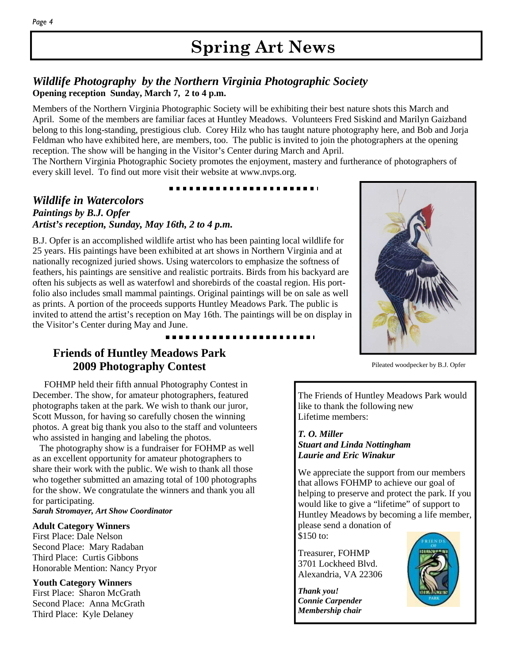# **Spring Art News**

## *Wildlife Photography by the Northern Virginia Photographic Society*  **Opening reception Sunday, March 7, 2 to 4 p.m.**

Members of the Northern Virginia Photographic Society will be exhibiting their best nature shots this March and April. Some of the members are familiar faces at Huntley Meadows. Volunteers Fred Siskind and Marilyn Gaizband belong to this long-standing, prestigious club. Corey Hilz who has taught nature photography here, and Bob and Jorja Feldman who have exhibited here, are members, too. The public is invited to join the photographers at the opening reception. The show will be hanging in the Visitor's Center during March and April.

The Northern Virginia Photographic Society promotes the enjoyment, mastery and furtherance of photographers of every skill level. To find out more visit their website at www.nvps.org.

## *Wildlife in Watercolors Paintings by B.J. Opfer Artist's reception, Sunday, May 16th, 2 to 4 p.m.*

B.J. Opfer is an accomplished wildlife artist who has been painting local wildlife for 25 years. His paintings have been exhibited at art shows in Northern Virginia and at nationally recognized juried shows. Using watercolors to emphasize the softness of feathers, his paintings are sensitive and realistic portraits. Birds from his backyard are often his subjects as well as waterfowl and shorebirds of the coastal region. His portfolio also includes small mammal paintings. Original paintings will be on sale as well as prints. A portion of the proceeds supports Huntley Meadows Park. The public is invited to attend the artist's reception on May 16th. The paintings will be on display in the Visitor's Center during May and June.



Pileated woodpecker by B.J. Opfer

# **Friends of Huntley Meadows Park 2009 Photography Contest**

 FOHMP held their fifth annual Photography Contest in December. The show, for amateur photographers, featured photographs taken at the park. We wish to thank our juror, Scott Musson, for having so carefully chosen the winning photos. A great big thank you also to the staff and volunteers who assisted in hanging and labeling the photos.

 The photography show is a fundraiser for FOHMP as well as an excellent opportunity for amateur photographers to share their work with the public. We wish to thank all those who together submitted an amazing total of 100 photographs for the show. We congratulate the winners and thank you all for participating.

*Sarah Stromayer, Art Show Coordinator* 

#### **Adult Category Winners**

First Place: Dale Nelson Second Place: Mary Radaban Third Place: Curtis Gibbons Honorable Mention: Nancy Pryor

#### **Youth Category Winners**

First Place: Sharon McGrath Second Place: Anna McGrath Third Place: Kyle Delaney

The Friends of Huntley Meadows Park would like to thank the following new Lifetime members:

#### *T. O. Miller Stuart and Linda Nottingham Laurie and Eric Winakur*

We appreciate the support from our members that allows FOHMP to achieve our goal of helping to preserve and protect the park. If you would like to give a "lifetime" of support to Huntley Meadows by becoming a life member, please send a donation of \$150 to:

Treasurer, FOHMP 3701 Lockheed Blvd. Alexandria, VA 22306

*Thank you! Connie Carpender Membership chair* 

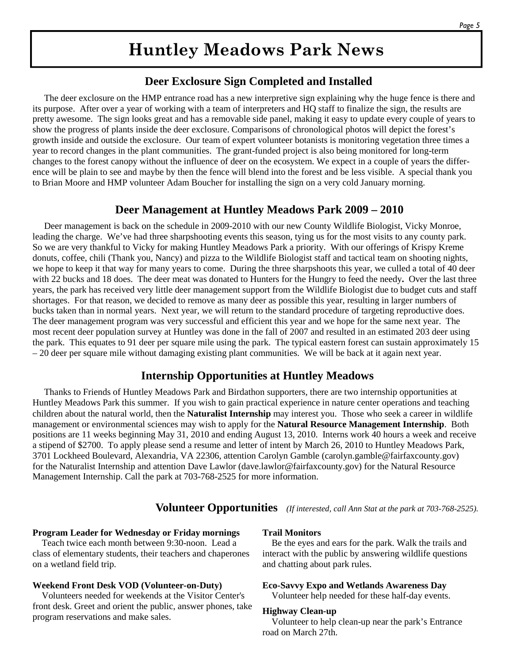# **Huntley Meadows Park News**

## **Deer Exclosure Sign Completed and Installed**

 The deer exclosure on the HMP entrance road has a new interpretive sign explaining why the huge fence is there and its purpose. After over a year of working with a team of interpreters and HQ staff to finalize the sign, the results are pretty awesome. The sign looks great and has a removable side panel, making it easy to update every couple of years to show the progress of plants inside the deer exclosure. Comparisons of chronological photos will depict the forest's growth inside and outside the exclosure. Our team of expert volunteer botanists is monitoring vegetation three times a year to record changes in the plant communities. The grant-funded project is also being monitored for long-term changes to the forest canopy without the influence of deer on the ecosystem. We expect in a couple of years the difference will be plain to see and maybe by then the fence will blend into the forest and be less visible. A special thank you to Brian Moore and HMP volunteer Adam Boucher for installing the sign on a very cold January morning.

## **Deer Management at Huntley Meadows Park 2009 – 2010**

 Deer management is back on the schedule in 2009-2010 with our new County Wildlife Biologist, Vicky Monroe, leading the charge. We've had three sharpshooting events this season, tying us for the most visits to any county park. So we are very thankful to Vicky for making Huntley Meadows Park a priority. With our offerings of Krispy Kreme donuts, coffee, chili (Thank you, Nancy) and pizza to the Wildlife Biologist staff and tactical team on shooting nights, we hope to keep it that way for many years to come. During the three sharpshoots this year, we culled a total of 40 deer with 22 bucks and 18 does. The deer meat was donated to Hunters for the Hungry to feed the needy**.** Over the last three years, the park has received very little deer management support from the Wildlife Biologist due to budget cuts and staff shortages. For that reason, we decided to remove as many deer as possible this year, resulting in larger numbers of bucks taken than in normal years. Next year, we will return to the standard procedure of targeting reproductive does. The deer management program was very successful and efficient this year and we hope for the same next year. The most recent deer population survey at Huntley was done in the fall of 2007 and resulted in an estimated 203 deer using the park. This equates to 91 deer per square mile using the park. The typical eastern forest can sustain approximately 15 – 20 deer per square mile without damaging existing plant communities. We will be back at it again next year.

# **Internship Opportunities at Huntley Meadows**

 Thanks to Friends of Huntley Meadows Park and Birdathon supporters, there are two internship opportunities at Huntley Meadows Park this summer. If you wish to gain practical experience in nature center operations and teaching children about the natural world, then the **Naturalist Internship** may interest you. Those who seek a career in wildlife management or environmental sciences may wish to apply for the **Natural Resource Management Internship**. Both positions are 11 weeks beginning May 31, 2010 and ending August 13, 2010. Interns work 40 hours a week and receive a stipend of \$2700. To apply please send a resume and letter of intent by March 26, 2010 to Huntley Meadows Park, 3701 Lockheed Boulevard, Alexandria, VA 22306, attention Carolyn Gamble (carolyn.gamble@fairfaxcounty.gov) for the Naturalist Internship and attention Dave Lawlor (dave.lawlor@fairfaxcounty.gov) for the Natural Resource Management Internship. Call the park at 703-768-2525 for more information.

## **Volunteer Opportunities** *(If interested, call Ann Stat at the park at 703-768-2525).*

#### **Program Leader for Wednesday or Friday mornings**

 Teach twice each month between 9:30-noon. Lead a class of elementary students, their teachers and chaperones on a wetland field trip.

#### **Weekend Front Desk VOD (Volunteer-on-Duty)**

 Volunteers needed for weekends at the Visitor Center's front desk. Greet and orient the public, answer phones, take program reservations and make sales.

#### **Trail Monitors**

 Be the eyes and ears for the park. Walk the trails and interact with the public by answering wildlife questions and chatting about park rules.

#### **Eco-Savvy Expo and Wetlands Awareness Day**

Volunteer help needed for these half-day events.

#### **Highway Clean-up**

Volunteer to help clean-up near the park's Entrance road on March 27th.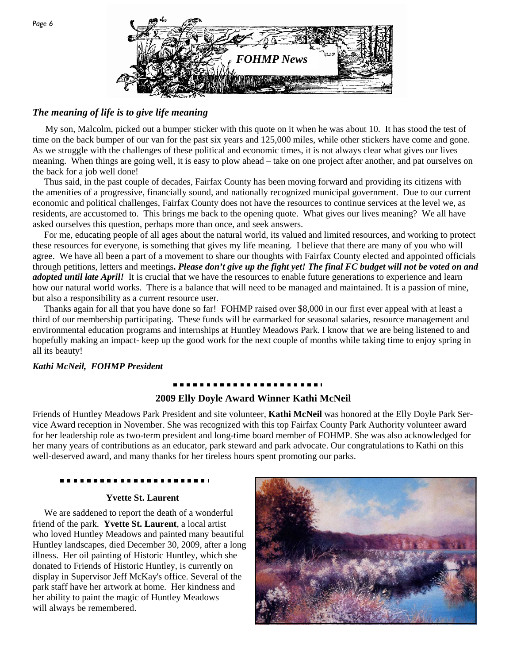

### *The meaning of life is to give life meaning*

 My son, Malcolm, picked out a bumper sticker with this quote on it when he was about 10. It has stood the test of time on the back bumper of our van for the past six years and 125,000 miles, while other stickers have come and gone. As we struggle with the challenges of these political and economic times, it is not always clear what gives our lives meaning. When things are going well, it is easy to plow ahead – take on one project after another, and pat ourselves on the back for a job well done!

 Thus said, in the past couple of decades, Fairfax County has been moving forward and providing its citizens with the amenities of a progressive, financially sound, and nationally recognized municipal government. Due to our current economic and political challenges, Fairfax County does not have the resources to continue services at the level we, as residents, are accustomed to. This brings me back to the opening quote. What gives our lives meaning? We all have asked ourselves this question, perhaps more than once, and seek answers.

 For me, educating people of all ages about the natural world, its valued and limited resources, and working to protect these resources for everyone, is something that gives my life meaning. I believe that there are many of you who will agree. We have all been a part of a movement to share our thoughts with Fairfax County elected and appointed officials through petitions, letters and meetings**.** *Please don't give up the fight yet! The final FC budget will not be voted on and adopted until late April!* It is crucial that we have the resources to enable future generations to experience and learn how our natural world works. There is a balance that will need to be managed and maintained. It is a passion of mine, but also a responsibility as a current resource user.

 Thanks again for all that you have done so far! FOHMP raised over \$8,000 in our first ever appeal with at least a third of our membership participating. These funds will be earmarked for seasonal salaries, resource management and environmental education programs and internships at Huntley Meadows Park. I know that we are being listened to and hopefully making an impact- keep up the good work for the next couple of months while taking time to enjoy spring in all its beauty!

#### *Kathi McNeil, FOHMP President*

#### **2009 Elly Doyle Award Winner Kathi McNeil**

Friends of Huntley Meadows Park President and site volunteer, **Kathi McNeil** was honored at the Elly Doyle Park Service Award reception in November. She was recognized with this top Fairfax County Park Authority volunteer award for her leadership role as two-term president and long-time board member of FOHMP. She was also acknowledged for her many years of contributions as an educator, park steward and park advocate. Our congratulations to Kathi on this well-deserved award, and many thanks for her tireless hours spent promoting our parks.

#### **Yvette St. Laurent**

 We are saddened to report the death of a wonderful friend of the park. **Yvette St. Laurent**, a local artist who loved Huntley Meadows and painted many beautiful Huntley landscapes, died December 30, 2009, after a long illness. Her oil painting of Historic Huntley, which she donated to Friends of Historic Huntley, is currently on display in Supervisor Jeff McKay's office. Several of the park staff have her artwork at home. Her kindness and her ability to paint the magic of Huntley Meadows will always be remembered.

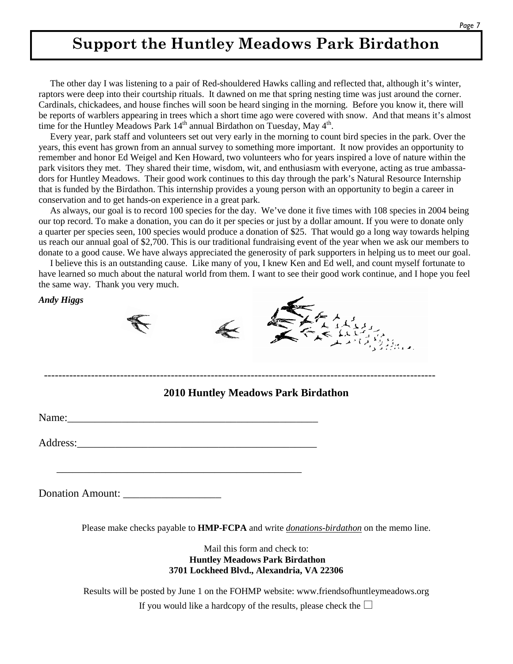# **Support the Huntley Meadows Park Birdathon**

 The other day I was listening to a pair of Red-shouldered Hawks calling and reflected that, although it's winter, raptors were deep into their courtship rituals. It dawned on me that spring nesting time was just around the corner. Cardinals, chickadees, and house finches will soon be heard singing in the morning. Before you know it, there will be reports of warblers appearing in trees which a short time ago were covered with snow. And that means it's almost time for the Huntley Meadows Park  $14<sup>th</sup>$  annual Birdathon on Tuesday, May  $4<sup>th</sup>$ .

 Every year, park staff and volunteers set out very early in the morning to count bird species in the park. Over the years, this event has grown from an annual survey to something more important. It now provides an opportunity to remember and honor Ed Weigel and Ken Howard, two volunteers who for years inspired a love of nature within the park visitors they met. They shared their time, wisdom, wit, and enthusiasm with everyone, acting as true ambassadors for Huntley Meadows. Their good work continues to this day through the park's Natural Resource Internship that is funded by the Birdathon. This internship provides a young person with an opportunity to begin a career in conservation and to get hands-on experience in a great park.

 As always, our goal is to record 100 species for the day. We've done it five times with 108 species in 2004 being our top record. To make a donation, you can do it per species or just by a dollar amount. If you were to donate only a quarter per species seen, 100 species would produce a donation of \$25. That would go a long way towards helping us reach our annual goal of \$2,700. This is our traditional fundraising event of the year when we ask our members to donate to a good cause. We have always appreciated the generosity of park supporters in helping us to meet our goal.

 I believe this is an outstanding cause. Like many of you, I knew Ken and Ed well, and count myself fortunate to have learned so much about the natural world from them. I want to see their good work continue, and I hope you feel the same way. Thank you very much.

*Andy Higgs* 





### **2010 Huntley Meadows Park Birdathon**

------------------------------------------------------------------------------------------------------------

Name:\_\_\_\_\_\_\_\_\_\_\_\_\_\_\_\_\_\_\_\_\_\_\_\_\_\_\_\_\_\_\_\_\_\_\_\_\_\_\_\_\_\_\_\_\_\_

Address:

\_\_\_\_\_\_\_\_\_\_\_\_\_\_\_\_\_\_\_\_\_\_\_\_\_\_\_\_\_\_\_\_\_\_\_\_\_\_\_\_\_\_\_\_\_

Donation Amount: \_\_\_\_\_\_\_\_\_\_\_\_\_\_\_\_\_\_

Please make checks payable to **HMP-FCPA** and write *donations-birdathon* on the memo line.

Mail this form and check to:  **Huntley Meadows Park Birdathon 3701 Lockheed Blvd., Alexandria, VA 22306** 

Results will be posted by June 1 on the FOHMP website: www.friendsofhuntleymeadows.org If you would like a hardcopy of the results, please check the  $\Box$